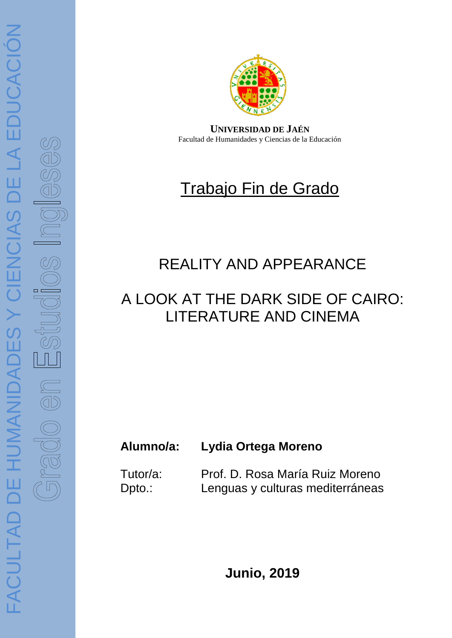

**UNIVERSIDAD DE JAÉN** Facultad de Humanidades y Ciencias de la Educación

# Trabajo Fin de Grado

## REALITY AND APPEARANCE

## A LOOK AT THE DARK SIDE OF CAIRO: LITERATURE AND CINEMA

### **Alumno/a: Lydia Ortega Moreno**

Tutor/a: Prof. D. Rosa María Ruiz Moreno Dpto.: Lenguas y culturas mediterráneas

**Junio, 2019**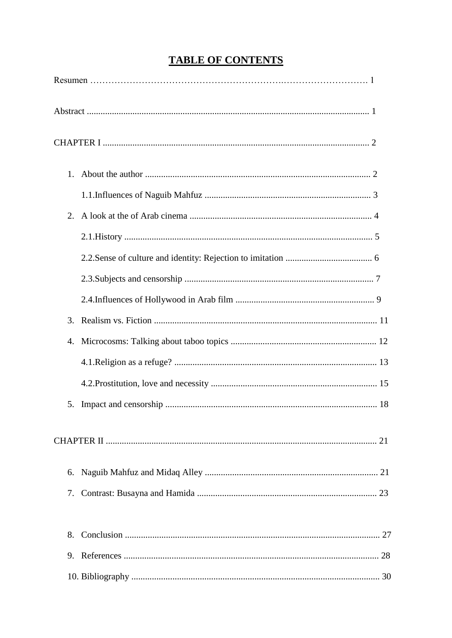### **TABLE OF CONTENTS**

| 2. |
|----|
|    |
|    |
|    |
|    |
| 3. |
|    |
|    |
|    |
| 5. |
|    |
| 6. |
| 7. |
| 8. |
| 9. |
|    |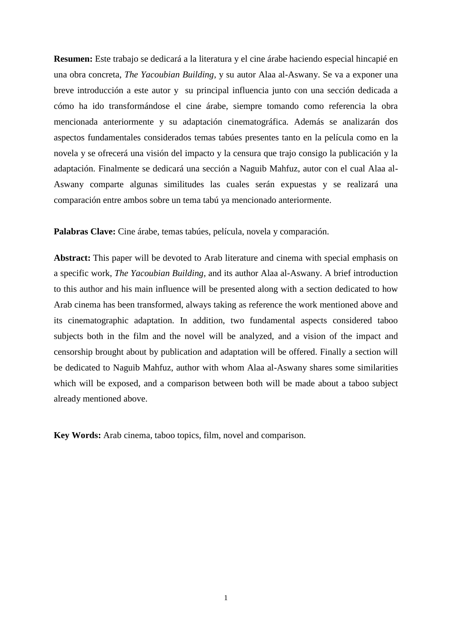**Resumen:** Este trabajo se dedicará a la literatura y el cine árabe haciendo especial hincapié en una obra concreta, *The Yacoubian Building*, y su autor Alaa al-Aswany. Se va a exponer una breve introducción a este autor y su principal influencia junto con una sección dedicada a cómo ha ido transformándose el cine árabe, siempre tomando como referencia la obra mencionada anteriormente y su adaptación cinematográfica. Además se analizarán dos aspectos fundamentales considerados temas tabúes presentes tanto en la película como en la novela y se ofrecerá una visión del impacto y la censura que trajo consigo la publicación y la adaptación. Finalmente se dedicará una sección a Naguib Mahfuz, autor con el cual Alaa al-Aswany comparte algunas similitudes las cuales serán expuestas y se realizará una comparación entre ambos sobre un tema tabú ya mencionado anteriormente.

**Palabras Clave:** Cine árabe, temas tabúes, película, novela y comparación.

**Abstract:** This paper will be devoted to Arab literature and cinema with special emphasis on a specific work, *The Yacoubian Building*, and its author Alaa al-Aswany. A brief introduction to this author and his main influence will be presented along with a section dedicated to how Arab cinema has been transformed, always taking as reference the work mentioned above and its cinematographic adaptation. In addition, two fundamental aspects considered taboo subjects both in the film and the novel will be analyzed, and a vision of the impact and censorship brought about by publication and adaptation will be offered. Finally a section will be dedicated to Naguib Mahfuz, author with whom Alaa al-Aswany shares some similarities which will be exposed, and a comparison between both will be made about a taboo subject already mentioned above.

**Key Words:** Arab cinema, taboo topics, film, novel and comparison.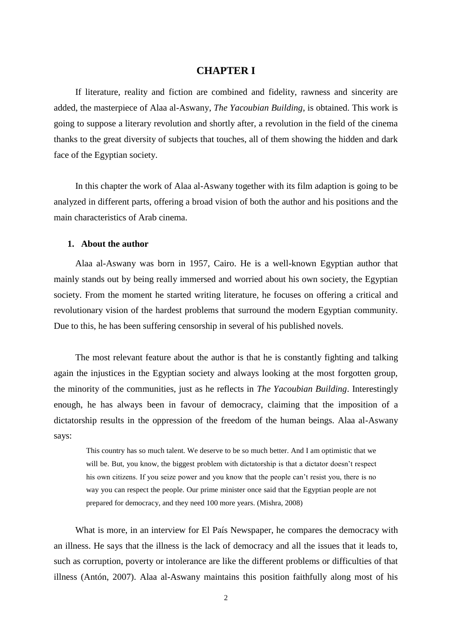#### **CHAPTER I**

If literature, reality and fiction are combined and fidelity, rawness and sincerity are added, the masterpiece of Alaa al-Aswany, *The Yacoubian Building*, is obtained. This work is going to suppose a literary revolution and shortly after, a revolution in the field of the cinema thanks to the great diversity of subjects that touches, all of them showing the hidden and dark face of the Egyptian society.

In this chapter the work of Alaa al-Aswany together with its film adaption is going to be analyzed in different parts, offering a broad vision of both the author and his positions and the main characteristics of Arab cinema.

#### **1. About the author**

Alaa al-Aswany was born in 1957, Cairo. He is a well-known Egyptian author that mainly stands out by being really immersed and worried about his own society, the Egyptian society. From the moment he started writing literature, he focuses on offering a critical and revolutionary vision of the hardest problems that surround the modern Egyptian community. Due to this, he has been suffering censorship in several of his published novels.

The most relevant feature about the author is that he is constantly fighting and talking again the injustices in the Egyptian society and always looking at the most forgotten group, the minority of the communities, just as he reflects in *The Yacoubian Building*. Interestingly enough, he has always been in favour of democracy, claiming that the imposition of a dictatorship results in the oppression of the freedom of the human beings. Alaa al-Aswany says:

This country has so much talent. We deserve to be so much better. And I am optimistic that we will be. But, you know, the biggest problem with dictatorship is that a dictator doesn't respect his own citizens. If you seize power and you know that the people can't resist you, there is no way you can respect the people. Our prime minister once said that the Egyptian people are not prepared for democracy, and they need 100 more years. (Mishra, 2008)

What is more, in an interview for El País Newspaper, he compares the democracy with an illness. He says that the illness is the lack of democracy and all the issues that it leads to, such as corruption, poverty or intolerance are like the different problems or difficulties of that illness (Antón, 2007). Alaa al-Aswany maintains this position faithfully along most of his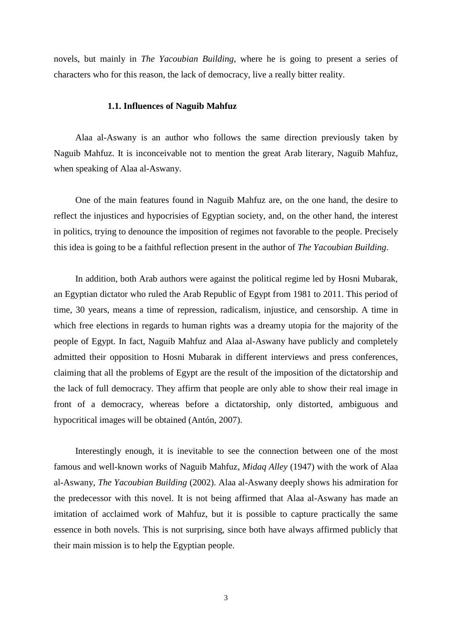novels, but mainly in *The Yacoubian Building*, where he is going to present a series of characters who for this reason, the lack of democracy, live a really bitter reality.

#### **1.1. Influences of Naguib Mahfuz**

Alaa al-Aswany is an author who follows the same direction previously taken by Naguib Mahfuz. It is inconceivable not to mention the great Arab literary, Naguib Mahfuz, when speaking of Alaa al-Aswany.

One of the main features found in Naguib Mahfuz are, on the one hand, the desire to reflect the injustices and hypocrisies of Egyptian society, and, on the other hand, the interest in politics, trying to denounce the imposition of regimes not favorable to the people. Precisely this idea is going to be a faithful reflection present in the author of *The Yacoubian Building*.

In addition, both Arab authors were against the political regime led by Hosni Mubarak, an Egyptian dictator who ruled the Arab Republic of Egypt from 1981 to 2011. This period of time, 30 years, means a time of repression, radicalism, injustice, and censorship. A time in which free elections in regards to human rights was a dreamy utopia for the majority of the people of Egypt. In fact, Naguib Mahfuz and Alaa al-Aswany have publicly and completely admitted their opposition to Hosni Mubarak in different interviews and press conferences, claiming that all the problems of Egypt are the result of the imposition of the dictatorship and the lack of full democracy. They affirm that people are only able to show their real image in front of a democracy, whereas before a dictatorship, only distorted, ambiguous and hypocritical images will be obtained (Antón, 2007).

Interestingly enough, it is inevitable to see the connection between one of the most famous and well-known works of Naguib Mahfuz, *Midaq Alley* (1947) with the work of Alaa al-Aswany, *The Yacoubian Building* (2002). Alaa al-Aswany deeply shows his admiration for the predecessor with this novel. It is not being affirmed that Alaa al-Aswany has made an imitation of acclaimed work of Mahfuz, but it is possible to capture practically the same essence in both novels. This is not surprising, since both have always affirmed publicly that their main mission is to help the Egyptian people.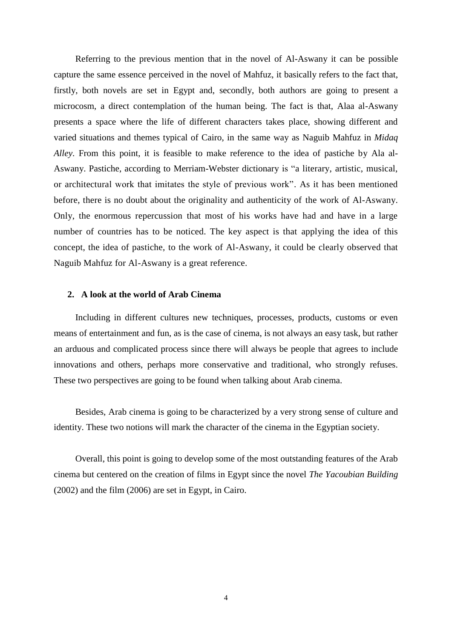Referring to the previous mention that in the novel of Al-Aswany it can be possible capture the same essence perceived in the novel of Mahfuz, it basically refers to the fact that, firstly, both novels are set in Egypt and, secondly, both authors are going to present a microcosm, a direct contemplation of the human being. The fact is that, Alaa al-Aswany presents a space where the life of different characters takes place, showing different and varied situations and themes typical of Cairo, in the same way as Naguib Mahfuz in *Midaq Alley*. From this point, it is feasible to make reference to the idea of pastiche by Ala al-Aswany. Pastiche, according to Merriam-Webster dictionary is "a literary, artistic, musical, or architectural work that imitates the style of previous work". As it has been mentioned before, there is no doubt about the originality and authenticity of the work of Al-Aswany. Only, the enormous repercussion that most of his works have had and have in a large number of countries has to be noticed. The key aspect is that applying the idea of this concept, the idea of pastiche, to the work of Al-Aswany, it could be clearly observed that Naguib Mahfuz for Al-Aswany is a great reference.

#### **2. A look at the world of Arab Cinema**

Including in different cultures new techniques, processes, products, customs or even means of entertainment and fun, as is the case of cinema, is not always an easy task, but rather an arduous and complicated process since there will always be people that agrees to include innovations and others, perhaps more conservative and traditional, who strongly refuses. These two perspectives are going to be found when talking about Arab cinema.

Besides, Arab cinema is going to be characterized by a very strong sense of culture and identity. These two notions will mark the character of the cinema in the Egyptian society.

Overall, this point is going to develop some of the most outstanding features of the Arab cinema but centered on the creation of films in Egypt since the novel *The Yacoubian Building* (2002) and the film (2006) are set in Egypt, in Cairo.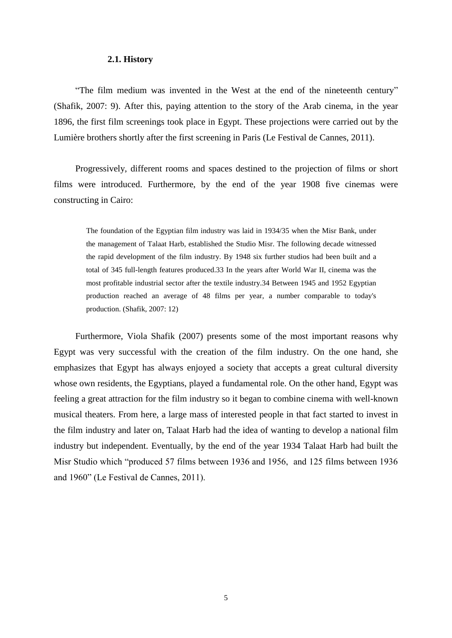#### **2.1. History**

"The film medium was invented in the West at the end of the nineteenth century" (Shafik, 2007: 9). After this, paying attention to the story of the Arab cinema, in the year 1896, the first film screenings took place in Egypt. These projections were carried out by the Lumière brothers shortly after the first screening in Paris (Le Festival de Cannes, 2011).

Progressively, different rooms and spaces destined to the projection of films or short films were introduced. Furthermore, by the end of the year 1908 five cinemas were constructing in Cairo:

The foundation of the Egyptian film industry was laid in 1934/35 when the Misr Bank, under the management of Talaat Harb, established the Studio Misr. The following decade witnessed the rapid development of the film industry. By 1948 six further studios had been built and a total of 345 full-length features produced.33 In the years after World War II, cinema was the most profitable industrial sector after the textile industry.34 Between 1945 and 1952 Egyptian production reached an average of 48 films per year, a number comparable to today's production. (Shafik, 2007: 12)

Furthermore, Viola Shafik (2007) presents some of the most important reasons why Egypt was very successful with the creation of the film industry. On the one hand, she emphasizes that Egypt has always enjoyed a society that accepts a great cultural diversity whose own residents, the Egyptians, played a fundamental role. On the other hand, Egypt was feeling a great attraction for the film industry so it began to combine cinema with well-known musical theaters. From here, a large mass of interested people in that fact started to invest in the film industry and later on, Talaat Harb had the idea of wanting to develop a national film industry but independent. Eventually, by the end of the year 1934 Talaat Harb had built the Misr Studio which "produced 57 films between 1936 and 1956, and 125 films between 1936 and 1960" (Le Festival de Cannes, 2011).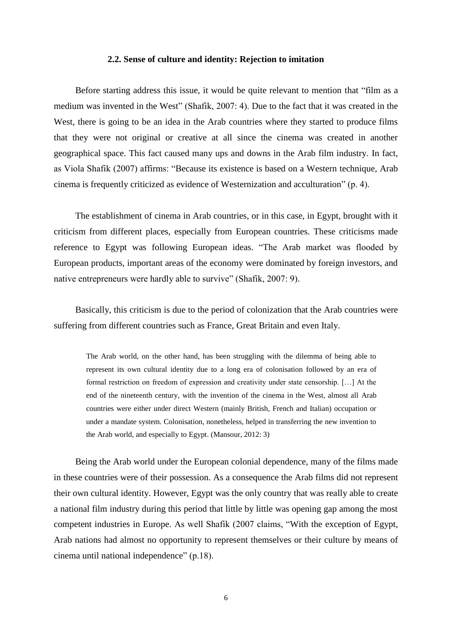#### **2.2. Sense of culture and identity: Rejection to imitation**

Before starting address this issue, it would be quite relevant to mention that "film as a medium was invented in the West" (Shafik, 2007: 4). Due to the fact that it was created in the West, there is going to be an idea in the Arab countries where they started to produce films that they were not original or creative at all since the cinema was created in another geographical space. This fact caused many ups and downs in the Arab film industry. In fact, as Viola Shafik (2007) affirms: "Because its existence is based on a Western technique, Arab cinema is frequently criticized as evidence of Westernization and acculturation" (p. 4).

The establishment of cinema in Arab countries, or in this case, in Egypt, brought with it criticism from different places, especially from European countries. These criticisms made reference to Egypt was following European ideas. "The Arab market was flooded by European products, important areas of the economy were dominated by foreign investors, and native entrepreneurs were hardly able to survive" (Shafik, 2007: 9).

Basically, this criticism is due to the period of colonization that the Arab countries were suffering from different countries such as France, Great Britain and even Italy.

The Arab world, on the other hand, has been struggling with the dilemma of being able to represent its own cultural identity due to a long era of colonisation followed by an era of formal restriction on freedom of expression and creativity under state censorship. […] At the end of the nineteenth century, with the invention of the cinema in the West, almost all Arab countries were either under direct Western (mainly British, French and Italian) occupation or under a mandate system. Colonisation, nonetheless, helped in transferring the new invention to the Arab world, and especially to Egypt. (Mansour, 2012: 3)

Being the Arab world under the European colonial dependence, many of the films made in these countries were of their possession. As a consequence the Arab films did not represent their own cultural identity. However, Egypt was the only country that was really able to create a national film industry during this period that little by little was opening gap among the most competent industries in Europe. As well Shafik (2007 claims, "With the exception of Egypt, Arab nations had almost no opportunity to represent themselves or their culture by means of cinema until national independence" (p.18).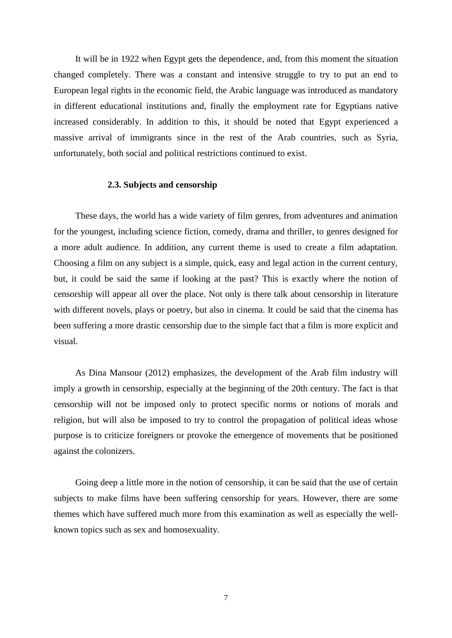It will be in 1922 when Egypt gets the dependence, and, from this moment the situation changed completely. There was a constant and intensive struggle to try to put an end to European legal rights in the economic field, the Arabic language was introduced as mandatory in different educational institutions and, finally the employment rate for Egyptians native increased considerably. In addition to this, it should be noted that Egypt experienced a massive arrival of immigrants since in the rest of the Arab countries, such as Syria, unfortunately, both social and political restrictions continued to exist.

#### **2.3. Subjects and censorship**

These days, the world has a wide variety of film genres, from adventures and animation for the youngest, including science fiction, comedy, drama and thriller, to genres designed for a more adult audience. In addition, any current theme is used to create a film adaptation. Choosing a film on any subject is a simple, quick, easy and legal action in the current century, but, it could be said the same if looking at the past? This is exactly where the notion of censorship will appear all over the place. Not only is there talk about censorship in literature with different novels, plays or poetry, but also in cinema. It could be said that the cinema has been suffering a more drastic censorship due to the simple fact that a film is more explicit and visual.

As Dina Mansour (2012) emphasizes, the development of the Arab film industry will imply a growth in censorship, especially at the beginning of the 20th century. The fact is that censorship will not be imposed only to protect specific norms or notions of morals and religion, but will also be imposed to try to control the propagation of political ideas whose purpose is to criticize foreigners or provoke the emergence of movements that be positioned against the colonizers.

Going deep a little more in the notion of censorship, it can be said that the use of certain subjects to make films have been suffering censorship for years. However, there are some themes which have suffered much more from this examination as well as especially the wellknown topics such as sex and homosexuality.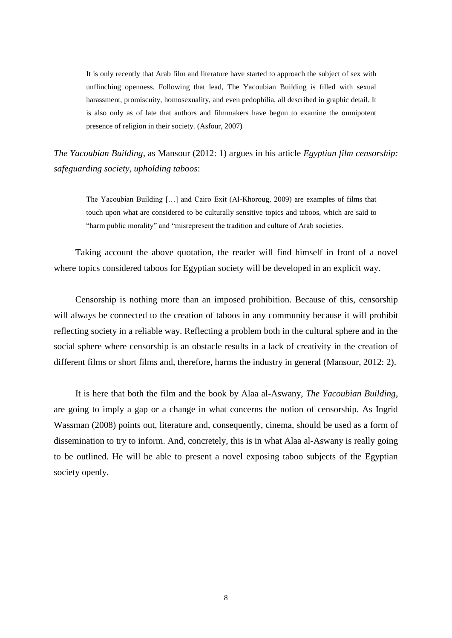It is only recently that Arab film and literature have started to approach the subject of sex with unflinching openness. Following that lead, The Yacoubian Building is filled with sexual harassment, promiscuity, homosexuality, and even pedophilia, all described in graphic detail. It is also only as of late that authors and filmmakers have begun to examine the omnipotent presence of religion in their society. (Asfour, 2007)

*The Yacoubian Building,* as Mansour (2012: 1) argues in his article *Egyptian film censorship: safeguarding society, upholding taboos*:

The Yacoubian Building […] and Cairo Exit (Al-Khoroug, 2009) are examples of films that touch upon what are considered to be culturally sensitive topics and taboos, which are said to "harm public morality" and "misrepresent the tradition and culture of Arab societies.

Taking account the above quotation, the reader will find himself in front of a novel where topics considered taboos for Egyptian society will be developed in an explicit way.

Censorship is nothing more than an imposed prohibition. Because of this, censorship will always be connected to the creation of taboos in any community because it will prohibit reflecting society in a reliable way. Reflecting a problem both in the cultural sphere and in the social sphere where censorship is an obstacle results in a lack of creativity in the creation of different films or short films and, therefore, harms the industry in general (Mansour, 2012: 2).

It is here that both the film and the book by Alaa al-Aswany, *The Yacoubian Building*, are going to imply a gap or a change in what concerns the notion of censorship. As Ingrid Wassman (2008) points out, literature and, consequently, cinema, should be used as a form of dissemination to try to inform. And, concretely, this is in what Alaa al-Aswany is really going to be outlined. He will be able to present a novel exposing taboo subjects of the Egyptian society openly.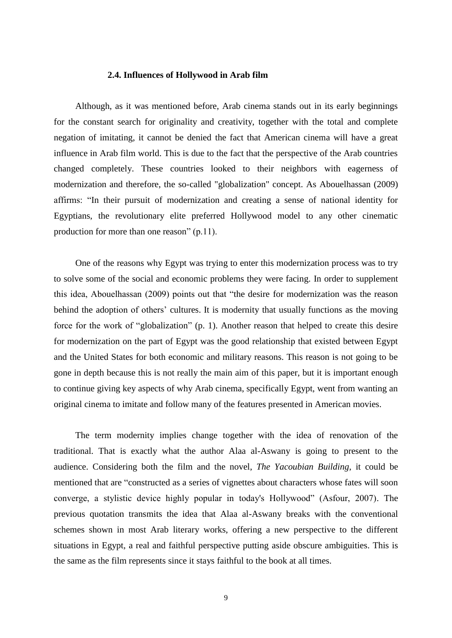#### **2.4. Influences of Hollywood in Arab film**

Although, as it was mentioned before, Arab cinema stands out in its early beginnings for the constant search for originality and creativity, together with the total and complete negation of imitating, it cannot be denied the fact that American cinema will have a great influence in Arab film world. This is due to the fact that the perspective of the Arab countries changed completely. These countries looked to their neighbors with eagerness of modernization and therefore, the so-called "globalization" concept. As Abouelhassan (2009) affirms: "In their pursuit of modernization and creating a sense of national identity for Egyptians, the revolutionary elite preferred Hollywood model to any other cinematic production for more than one reason" (p.11).

One of the reasons why Egypt was trying to enter this modernization process was to try to solve some of the social and economic problems they were facing. In order to supplement this idea, Abouelhassan (2009) points out that "the desire for modernization was the reason behind the adoption of others' cultures. It is modernity that usually functions as the moving force for the work of "globalization" (p. 1). Another reason that helped to create this desire for modernization on the part of Egypt was the good relationship that existed between Egypt and the United States for both economic and military reasons. This reason is not going to be gone in depth because this is not really the main aim of this paper, but it is important enough to continue giving key aspects of why Arab cinema, specifically Egypt, went from wanting an original cinema to imitate and follow many of the features presented in American movies.

The term modernity implies change together with the idea of renovation of the traditional. That is exactly what the author Alaa al-Aswany is going to present to the audience. Considering both the film and the novel, *The Yacoubian Building*, it could be mentioned that are "constructed as a series of vignettes about characters whose fates will soon converge, a stylistic device highly popular in today's Hollywood" (Asfour, 2007). The previous quotation transmits the idea that Alaa al-Aswany breaks with the conventional schemes shown in most Arab literary works, offering a new perspective to the different situations in Egypt, a real and faithful perspective putting aside obscure ambiguities. This is the same as the film represents since it stays faithful to the book at all times.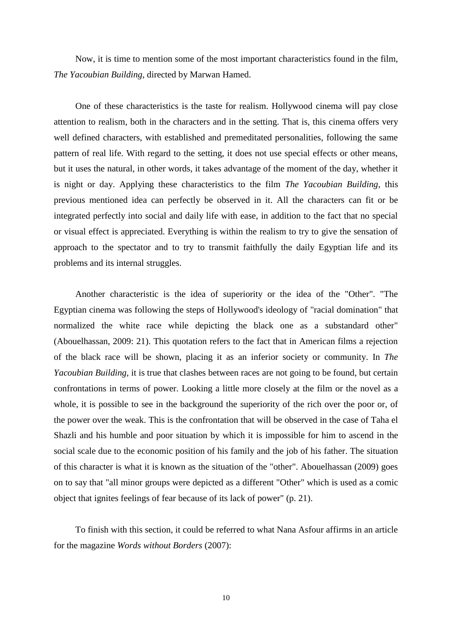Now, it is time to mention some of the most important characteristics found in the film, *The Yacoubian Building*, directed by Marwan Hamed.

One of these characteristics is the taste for realism. Hollywood cinema will pay close attention to realism, both in the characters and in the setting. That is, this cinema offers very well defined characters, with established and premeditated personalities, following the same pattern of real life. With regard to the setting, it does not use special effects or other means, but it uses the natural, in other words, it takes advantage of the moment of the day, whether it is night or day. Applying these characteristics to the film *The Yacoubian Building*, this previous mentioned idea can perfectly be observed in it. All the characters can fit or be integrated perfectly into social and daily life with ease, in addition to the fact that no special or visual effect is appreciated. Everything is within the realism to try to give the sensation of approach to the spectator and to try to transmit faithfully the daily Egyptian life and its problems and its internal struggles.

Another characteristic is the idea of superiority or the idea of the "Other". "The Egyptian cinema was following the steps of Hollywood's ideology of "racial domination" that normalized the white race while depicting the black one as a substandard other" (Abouelhassan, 2009: 21). This quotation refers to the fact that in American films a rejection of the black race will be shown, placing it as an inferior society or community. In *The Yacoubian Building*, it is true that clashes between races are not going to be found, but certain confrontations in terms of power. Looking a little more closely at the film or the novel as a whole, it is possible to see in the background the superiority of the rich over the poor or, of the power over the weak. This is the confrontation that will be observed in the case of Taha el Shazli and his humble and poor situation by which it is impossible for him to ascend in the social scale due to the economic position of his family and the job of his father. The situation of this character is what it is known as the situation of the "other". Abouelhassan (2009) goes on to say that "all minor groups were depicted as a different "Other" which is used as a comic object that ignites feelings of fear because of its lack of power" (p. 21).

To finish with this section, it could be referred to what Nana Asfour affirms in an article for the magazine *Words without Borders* (2007):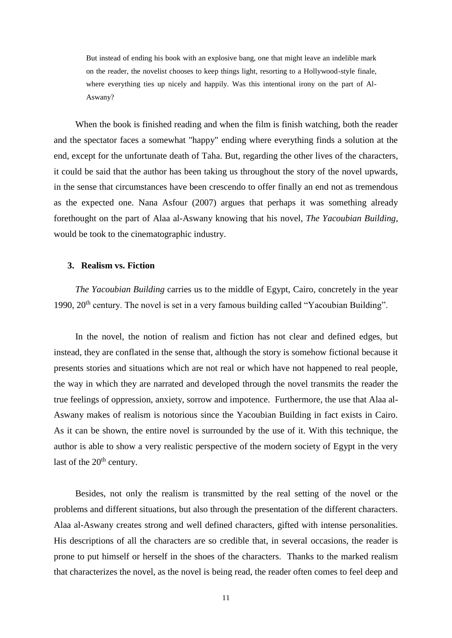But instead of ending his book with an explosive bang, one that might leave an indelible mark on the reader, the novelist chooses to keep things light, resorting to a Hollywood-style finale, where everything ties up nicely and happily. Was this intentional irony on the part of Al-Aswany?

When the book is finished reading and when the film is finish watching, both the reader and the spectator faces a somewhat "happy" ending where everything finds a solution at the end, except for the unfortunate death of Taha. But, regarding the other lives of the characters, it could be said that the author has been taking us throughout the story of the novel upwards, in the sense that circumstances have been crescendo to offer finally an end not as tremendous as the expected one. Nana Asfour (2007) argues that perhaps it was something already forethought on the part of Alaa al-Aswany knowing that his novel, *The Yacoubian Building*, would be took to the cinematographic industry.

#### **3. Realism vs. Fiction**

*The Yacoubian Building* carries us to the middle of Egypt, Cairo, concretely in the year 1990, 20<sup>th</sup> century. The novel is set in a very famous building called "Yacoubian Building".

In the novel, the notion of realism and fiction has not clear and defined edges, but instead, they are conflated in the sense that, although the story is somehow fictional because it presents stories and situations which are not real or which have not happened to real people, the way in which they are narrated and developed through the novel transmits the reader the true feelings of oppression, anxiety, sorrow and impotence. Furthermore, the use that Alaa al-Aswany makes of realism is notorious since the Yacoubian Building in fact exists in Cairo. As it can be shown, the entire novel is surrounded by the use of it. With this technique, the author is able to show a very realistic perspective of the modern society of Egypt in the very last of the  $20<sup>th</sup>$  century.

Besides, not only the realism is transmitted by the real setting of the novel or the problems and different situations, but also through the presentation of the different characters. Alaa al-Aswany creates strong and well defined characters, gifted with intense personalities. His descriptions of all the characters are so credible that, in several occasions, the reader is prone to put himself or herself in the shoes of the characters. Thanks to the marked realism that characterizes the novel, as the novel is being read, the reader often comes to feel deep and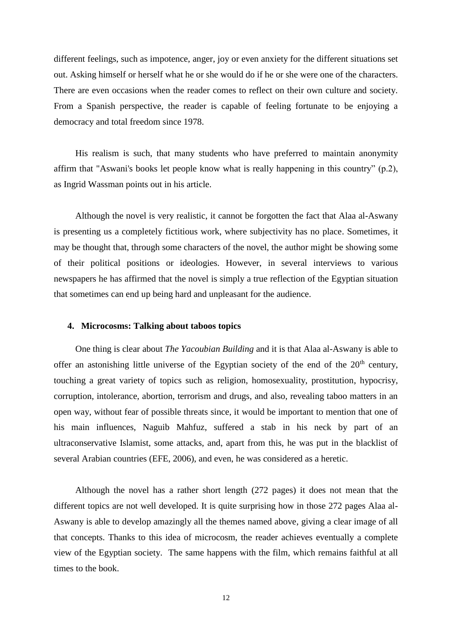different feelings, such as impotence, anger, joy or even anxiety for the different situations set out. Asking himself or herself what he or she would do if he or she were one of the characters. There are even occasions when the reader comes to reflect on their own culture and society. From a Spanish perspective, the reader is capable of feeling fortunate to be enjoying a democracy and total freedom since 1978.

His realism is such, that many students who have preferred to maintain anonymity affirm that "Aswani's books let people know what is really happening in this country" (p.2), as Ingrid Wassman points out in his article.

Although the novel is very realistic, it cannot be forgotten the fact that Alaa al-Aswany is presenting us a completely fictitious work, where subjectivity has no place. Sometimes, it may be thought that, through some characters of the novel, the author might be showing some of their political positions or ideologies. However, in several interviews to various newspapers he has affirmed that the novel is simply a true reflection of the Egyptian situation that sometimes can end up being hard and unpleasant for the audience.

#### **4. Microcosms: Talking about taboos topics**

One thing is clear about *The Yacoubian Building* and it is that Alaa al-Aswany is able to offer an astonishing little universe of the Egyptian society of the end of the  $20<sup>th</sup>$  century, touching a great variety of topics such as religion, homosexuality, prostitution, hypocrisy, corruption, intolerance, abortion, terrorism and drugs, and also, revealing taboo matters in an open way, without fear of possible threats since, it would be important to mention that one of his main influences, Naguib Mahfuz, suffered a stab in his neck by part of an ultraconservative Islamist, some attacks, and, apart from this, he was put in the blacklist of several Arabian countries (EFE, 2006), and even, he was considered as a heretic.

Although the novel has a rather short length (272 pages) it does not mean that the different topics are not well developed. It is quite surprising how in those 272 pages Alaa al-Aswany is able to develop amazingly all the themes named above, giving a clear image of all that concepts. Thanks to this idea of microcosm, the reader achieves eventually a complete view of the Egyptian society. The same happens with the film, which remains faithful at all times to the book.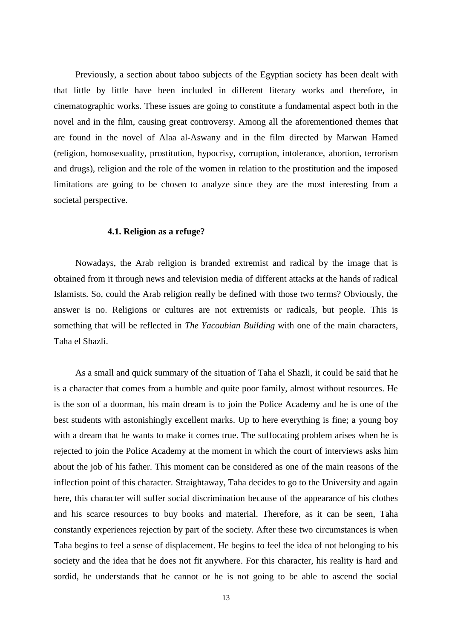Previously, a section about taboo subjects of the Egyptian society has been dealt with that little by little have been included in different literary works and therefore, in cinematographic works. These issues are going to constitute a fundamental aspect both in the novel and in the film, causing great controversy. Among all the aforementioned themes that are found in the novel of Alaa al-Aswany and in the film directed by Marwan Hamed (religion, homosexuality, prostitution, hypocrisy, corruption, intolerance, abortion, terrorism and drugs), religion and the role of the women in relation to the prostitution and the imposed limitations are going to be chosen to analyze since they are the most interesting from a societal perspective.

#### **4.1. Religion as a refuge?**

Nowadays, the Arab religion is branded extremist and radical by the image that is obtained from it through news and television media of different attacks at the hands of radical Islamists. So, could the Arab religion really be defined with those two terms? Obviously, the answer is no. Religions or cultures are not extremists or radicals, but people. This is something that will be reflected in *The Yacoubian Building* with one of the main characters, Taha el Shazli.

As a small and quick summary of the situation of Taha el Shazli, it could be said that he is a character that comes from a humble and quite poor family, almost without resources. He is the son of a doorman, his main dream is to join the Police Academy and he is one of the best students with astonishingly excellent marks. Up to here everything is fine; a young boy with a dream that he wants to make it comes true. The suffocating problem arises when he is rejected to join the Police Academy at the moment in which the court of interviews asks him about the job of his father. This moment can be considered as one of the main reasons of the inflection point of this character. Straightaway, Taha decides to go to the University and again here, this character will suffer social discrimination because of the appearance of his clothes and his scarce resources to buy books and material. Therefore, as it can be seen, Taha constantly experiences rejection by part of the society. After these two circumstances is when Taha begins to feel a sense of displacement. He begins to feel the idea of not belonging to his society and the idea that he does not fit anywhere. For this character, his reality is hard and sordid, he understands that he cannot or he is not going to be able to ascend the social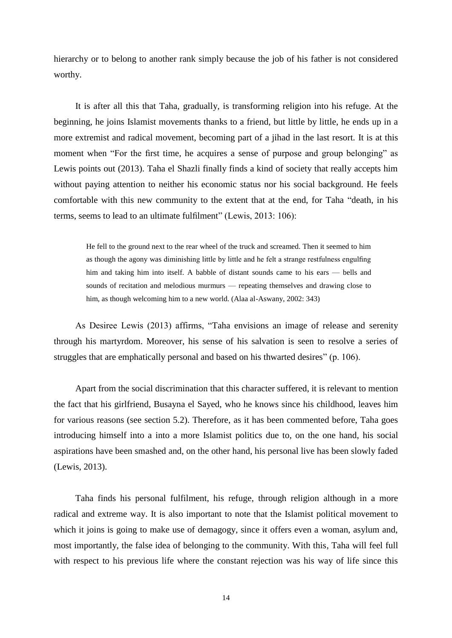hierarchy or to belong to another rank simply because the job of his father is not considered worthy.

It is after all this that Taha, gradually, is transforming religion into his refuge. At the beginning, he joins Islamist movements thanks to a friend, but little by little, he ends up in a more extremist and radical movement, becoming part of a jihad in the last resort. It is at this moment when "For the first time, he acquires a sense of purpose and group belonging" as Lewis points out (2013). Taha el Shazli finally finds a kind of society that really accepts him without paying attention to neither his economic status nor his social background. He feels comfortable with this new community to the extent that at the end, for Taha "death, in his terms, seems to lead to an ultimate fulfilment" (Lewis, 2013: 106):

He fell to the ground next to the rear wheel of the truck and screamed. Then it seemed to him as though the agony was diminishing little by little and he felt a strange restfulness engulfing him and taking him into itself. A babble of distant sounds came to his ears — bells and sounds of recitation and melodious murmurs — repeating themselves and drawing close to him, as though welcoming him to a new world. (Alaa al-Aswany, 2002: 343)

As Desiree Lewis (2013) affirms, "Taha envisions an image of release and serenity through his martyrdom. Moreover, his sense of his salvation is seen to resolve a series of struggles that are emphatically personal and based on his thwarted desires" (p. 106).

Apart from the social discrimination that this character suffered, it is relevant to mention the fact that his girlfriend, Busayna el Sayed, who he knows since his childhood, leaves him for various reasons (see section 5.2). Therefore, as it has been commented before, Taha goes introducing himself into a into a more Islamist politics due to, on the one hand, his social aspirations have been smashed and, on the other hand, his personal live has been slowly faded (Lewis, 2013).

Taha finds his personal fulfilment, his refuge, through religion although in a more radical and extreme way. It is also important to note that the Islamist political movement to which it joins is going to make use of demagogy, since it offers even a woman, asylum and, most importantly, the false idea of belonging to the community. With this, Taha will feel full with respect to his previous life where the constant rejection was his way of life since this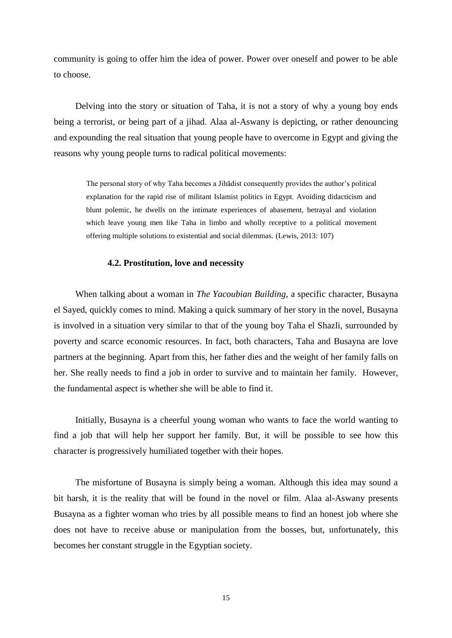community is going to offer him the idea of power. Power over oneself and power to be able to choose.

Delving into the story or situation of Taha, it is not a story of why a young boy ends being a terrorist, or being part of a jihad. Alaa al-Aswany is depicting, or rather denouncing and expounding the real situation that young people have to overcome in Egypt and giving the reasons why young people turns to radical political movements:

The personal story of why Taha becomes a Jihādist consequently provides the author's political explanation for the rapid rise of militant Islamist politics in Egypt. Avoiding didacticism and blunt polemic, he dwells on the intimate experiences of abasement, betrayal and violation which leave young men like Taha in limbo and wholly receptive to a political movement offering multiple solutions to existential and social dilemmas. (Lewis, 2013: 107)

#### **4.2. Prostitution, love and necessity**

When talking about a woman in *The Yacoubian Building*, a specific character, Busayna el Sayed, quickly comes to mind. Making a quick summary of her story in the novel, Busayna is involved in a situation very similar to that of the young boy Taha el Shazli, surrounded by poverty and scarce economic resources. In fact, both characters, Taha and Busayna are love partners at the beginning. Apart from this, her father dies and the weight of her family falls on her. She really needs to find a job in order to survive and to maintain her family. However, the fundamental aspect is whether she will be able to find it.

Initially, Busayna is a cheerful young woman who wants to face the world wanting to find a job that will help her support her family. But, it will be possible to see how this character is progressively humiliated together with their hopes.

The misfortune of Busayna is simply being a woman. Although this idea may sound a bit harsh, it is the reality that will be found in the novel or film. Alaa al-Aswany presents Busayna as a fighter woman who tries by all possible means to find an honest job where she does not have to receive abuse or manipulation from the bosses, but, unfortunately, this becomes her constant struggle in the Egyptian society.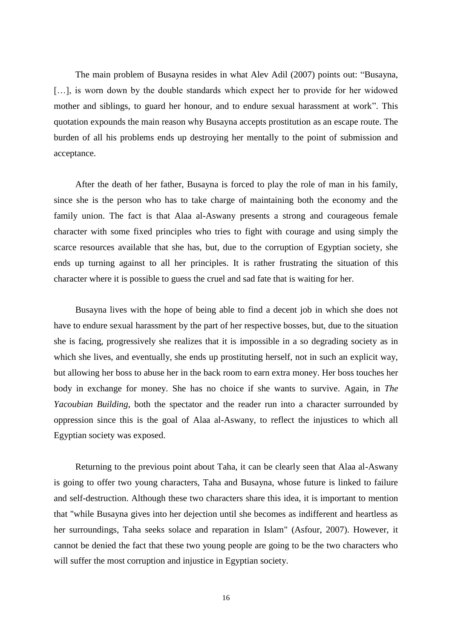The main problem of Busayna resides in what Alev Adil (2007) points out: "Busayna, [...], is worn down by the double standards which expect her to provide for her widowed mother and siblings, to guard her honour, and to endure sexual harassment at work". This quotation expounds the main reason why Busayna accepts prostitution as an escape route. The burden of all his problems ends up destroying her mentally to the point of submission and acceptance.

After the death of her father, Busayna is forced to play the role of man in his family, since she is the person who has to take charge of maintaining both the economy and the family union. The fact is that Alaa al-Aswany presents a strong and courageous female character with some fixed principles who tries to fight with courage and using simply the scarce resources available that she has, but, due to the corruption of Egyptian society, she ends up turning against to all her principles. It is rather frustrating the situation of this character where it is possible to guess the cruel and sad fate that is waiting for her.

Busayna lives with the hope of being able to find a decent job in which she does not have to endure sexual harassment by the part of her respective bosses, but, due to the situation she is facing, progressively she realizes that it is impossible in a so degrading society as in which she lives, and eventually, she ends up prostituting herself, not in such an explicit way, but allowing her boss to abuse her in the back room to earn extra money. Her boss touches her body in exchange for money. She has no choice if she wants to survive. Again, in *The Yacoubian Building*, both the spectator and the reader run into a character surrounded by oppression since this is the goal of Alaa al-Aswany, to reflect the injustices to which all Egyptian society was exposed.

Returning to the previous point about Taha, it can be clearly seen that Alaa al-Aswany is going to offer two young characters, Taha and Busayna, whose future is linked to failure and self-destruction. Although these two characters share this idea, it is important to mention that "while Busayna gives into her dejection until she becomes as indifferent and heartless as her surroundings, Taha seeks solace and reparation in Islam" (Asfour, 2007). However, it cannot be denied the fact that these two young people are going to be the two characters who will suffer the most corruption and injustice in Egyptian society.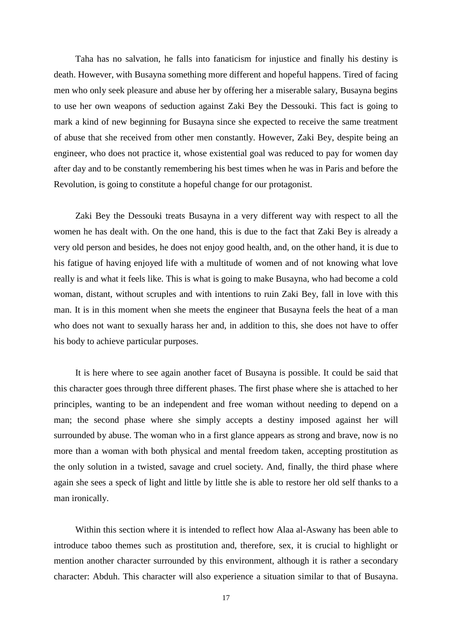Taha has no salvation, he falls into fanaticism for injustice and finally his destiny is death. However, with Busayna something more different and hopeful happens. Tired of facing men who only seek pleasure and abuse her by offering her a miserable salary, Busayna begins to use her own weapons of seduction against Zaki Bey the Dessouki. This fact is going to mark a kind of new beginning for Busayna since she expected to receive the same treatment of abuse that she received from other men constantly. However, Zaki Bey, despite being an engineer, who does not practice it, whose existential goal was reduced to pay for women day after day and to be constantly remembering his best times when he was in Paris and before the Revolution, is going to constitute a hopeful change for our protagonist.

Zaki Bey the Dessouki treats Busayna in a very different way with respect to all the women he has dealt with. On the one hand, this is due to the fact that Zaki Bey is already a very old person and besides, he does not enjoy good health, and, on the other hand, it is due to his fatigue of having enjoyed life with a multitude of women and of not knowing what love really is and what it feels like. This is what is going to make Busayna, who had become a cold woman, distant, without scruples and with intentions to ruin Zaki Bey, fall in love with this man. It is in this moment when she meets the engineer that Busayna feels the heat of a man who does not want to sexually harass her and, in addition to this, she does not have to offer his body to achieve particular purposes.

It is here where to see again another facet of Busayna is possible. It could be said that this character goes through three different phases. The first phase where she is attached to her principles, wanting to be an independent and free woman without needing to depend on a man; the second phase where she simply accepts a destiny imposed against her will surrounded by abuse. The woman who in a first glance appears as strong and brave, now is no more than a woman with both physical and mental freedom taken, accepting prostitution as the only solution in a twisted, savage and cruel society. And, finally, the third phase where again she sees a speck of light and little by little she is able to restore her old self thanks to a man ironically.

Within this section where it is intended to reflect how Alaa al-Aswany has been able to introduce taboo themes such as prostitution and, therefore, sex, it is crucial to highlight or mention another character surrounded by this environment, although it is rather a secondary character: Abduh. This character will also experience a situation similar to that of Busayna.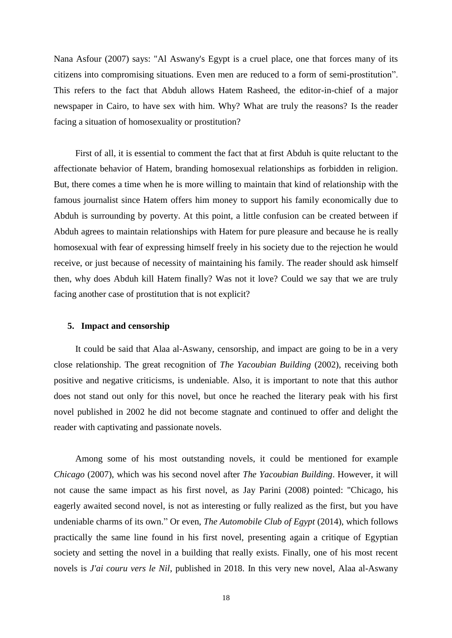Nana Asfour (2007) says: "Al Aswany's Egypt is a cruel place, one that forces many of its citizens into compromising situations. Even men are reduced to a form of semi-prostitution". This refers to the fact that Abduh allows Hatem Rasheed, the editor-in-chief of a major newspaper in Cairo, to have sex with him. Why? What are truly the reasons? Is the reader facing a situation of homosexuality or prostitution?

First of all, it is essential to comment the fact that at first Abduh is quite reluctant to the affectionate behavior of Hatem, branding homosexual relationships as forbidden in religion. But, there comes a time when he is more willing to maintain that kind of relationship with the famous journalist since Hatem offers him money to support his family economically due to Abduh is surrounding by poverty. At this point, a little confusion can be created between if Abduh agrees to maintain relationships with Hatem for pure pleasure and because he is really homosexual with fear of expressing himself freely in his society due to the rejection he would receive, or just because of necessity of maintaining his family. The reader should ask himself then, why does Abduh kill Hatem finally? Was not it love? Could we say that we are truly facing another case of prostitution that is not explicit?

#### **5. Impact and censorship**

It could be said that Alaa al-Aswany, censorship, and impact are going to be in a very close relationship. The great recognition of *The Yacoubian Building* (2002), receiving both positive and negative criticisms, is undeniable. Also, it is important to note that this author does not stand out only for this novel, but once he reached the literary peak with his first novel published in 2002 he did not become stagnate and continued to offer and delight the reader with captivating and passionate novels.

Among some of his most outstanding novels, it could be mentioned for example *Chicago* (2007), which was his second novel after *The Yacoubian Building*. However, it will not cause the same impact as his first novel, as Jay Parini (2008) pointed: "Chicago, his eagerly awaited second novel, is not as interesting or fully realized as the first, but you have undeniable charms of its own." Or even, *The Automobile Club of Egypt* (2014), which follows practically the same line found in his first novel, presenting again a critique of Egyptian society and setting the novel in a building that really exists. Finally, one of his most recent novels is *J'ai couru vers le Nil*, published in 2018. In this very new novel, Alaa al-Aswany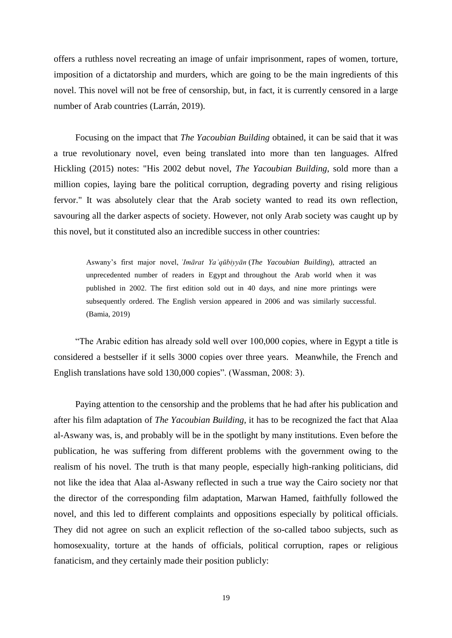offers a ruthless novel recreating an image of unfair imprisonment, rapes of women, torture, imposition of a dictatorship and murders, which are going to be the main ingredients of this novel. This novel will not be free of censorship, but, in fact, it is currently censored in a large number of Arab countries (Larrán, 2019).

Focusing on the impact that *The Yacoubian Building* obtained, it can be said that it was a true revolutionary novel, even being translated into more than ten languages. Alfred Hickling (2015) notes: "His 2002 debut novel, *The Yacoubian Building*, sold more than a million copies, laying bare the political corruption, degrading poverty and rising religious fervor." It was absolutely clear that the Arab society wanted to read its own reflection, savouring all the darker aspects of society. However, not only Arab society was caught up by this novel, but it constituted also an incredible success in other countries:

Aswany's first major novel, *ʿImārat Yaʿqūbiyyān* (*The Yacoubian Building*), attracted an unprecedented number of readers in Egypt and throughout the Arab world when it was published in 2002. The first edition sold out in 40 days, and nine more printings were subsequently ordered. The English version appeared in 2006 and was similarly successful. (Bamia, 2019)

"The Arabic edition has already sold well over 100,000 copies, where in Egypt a title is considered a bestseller if it sells 3000 copies over three years. Meanwhile, the French and English translations have sold 130,000 copies". (Wassman, 2008: 3).

Paying attention to the censorship and the problems that he had after his publication and after his film adaptation of *The Yacoubian Building*, it has to be recognized the fact that Alaa al-Aswany was, is, and probably will be in the spotlight by many institutions. Even before the publication, he was suffering from different problems with the government owing to the realism of his novel. The truth is that many people, especially high-ranking politicians, did not like the idea that Alaa al-Aswany reflected in such a true way the Cairo society nor that the director of the corresponding film adaptation, Marwan Hamed, faithfully followed the novel, and this led to different complaints and oppositions especially by political officials. They did not agree on such an explicit reflection of the so-called taboo subjects, such as homosexuality, torture at the hands of officials, political corruption, rapes or religious fanaticism, and they certainly made their position publicly: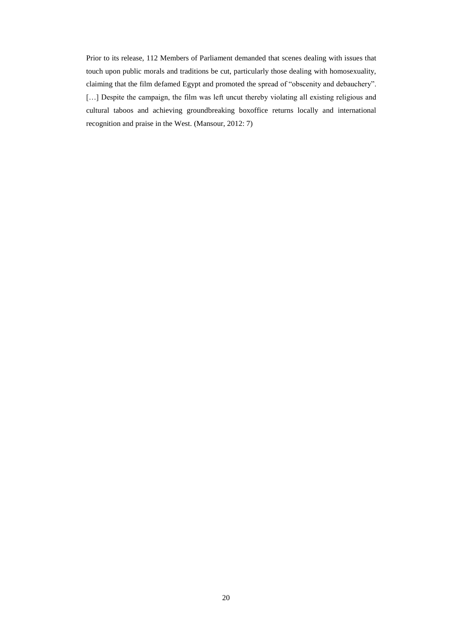Prior to its release, 112 Members of Parliament demanded that scenes dealing with issues that touch upon public morals and traditions be cut, particularly those dealing with homosexuality, claiming that the film defamed Egypt and promoted the spread of "obscenity and debauchery". [...] Despite the campaign, the film was left uncut thereby violating all existing religious and cultural taboos and achieving groundbreaking boxoffice returns locally and international recognition and praise in the West. (Mansour, 2012: 7)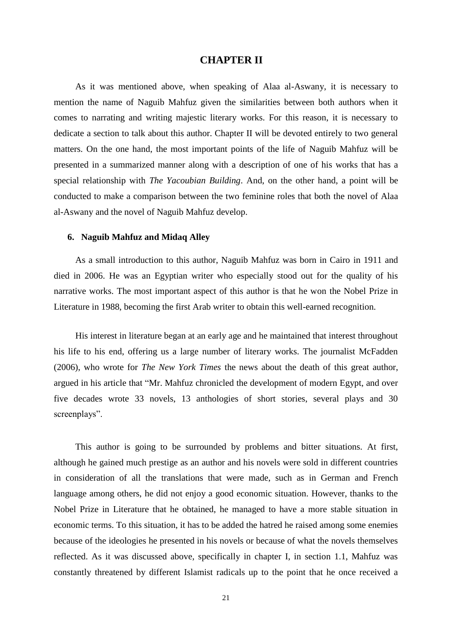#### **CHAPTER II**

As it was mentioned above, when speaking of Alaa al-Aswany, it is necessary to mention the name of Naguib Mahfuz given the similarities between both authors when it comes to narrating and writing majestic literary works. For this reason, it is necessary to dedicate a section to talk about this author. Chapter II will be devoted entirely to two general matters. On the one hand, the most important points of the life of Naguib Mahfuz will be presented in a summarized manner along with a description of one of his works that has a special relationship with *The Yacoubian Building*. And, on the other hand, a point will be conducted to make a comparison between the two feminine roles that both the novel of Alaa al-Aswany and the novel of Naguib Mahfuz develop.

#### **6. Naguib Mahfuz and Midaq Alley**

As a small introduction to this author, Naguib Mahfuz was born in Cairo in 1911 and died in 2006. He was an Egyptian writer who especially stood out for the quality of his narrative works. The most important aspect of this author is that he won the Nobel Prize in Literature in 1988, becoming the first Arab writer to obtain this well-earned recognition.

His interest in literature began at an early age and he maintained that interest throughout his life to his end, offering us a large number of literary works. The journalist McFadden (2006), who wrote for *The New York Times* the news about the death of this great author, argued in his article that "Mr. Mahfuz chronicled the development of modern Egypt, and over five decades wrote 33 novels, 13 anthologies of short stories, several plays and 30 screenplays".

This author is going to be surrounded by problems and bitter situations. At first, although he gained much prestige as an author and his novels were sold in different countries in consideration of all the translations that were made, such as in German and French language among others, he did not enjoy a good economic situation. However, thanks to the Nobel Prize in Literature that he obtained, he managed to have a more stable situation in economic terms. To this situation, it has to be added the hatred he raised among some enemies because of the ideologies he presented in his novels or because of what the novels themselves reflected. As it was discussed above, specifically in chapter I, in section 1.1, Mahfuz was constantly threatened by different Islamist radicals up to the point that he once received a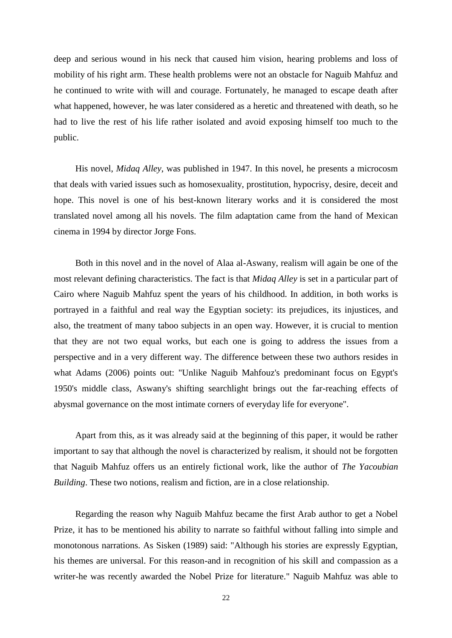deep and serious wound in his neck that caused him vision, hearing problems and loss of mobility of his right arm. These health problems were not an obstacle for Naguib Mahfuz and he continued to write with will and courage. Fortunately, he managed to escape death after what happened, however, he was later considered as a heretic and threatened with death, so he had to live the rest of his life rather isolated and avoid exposing himself too much to the public.

His novel, *Midaq Alley*, was published in 1947. In this novel, he presents a microcosm that deals with varied issues such as homosexuality, prostitution, hypocrisy, desire, deceit and hope. This novel is one of his best-known literary works and it is considered the most translated novel among all his novels. The film adaptation came from the hand of Mexican cinema in 1994 by director Jorge Fons.

Both in this novel and in the novel of Alaa al-Aswany, realism will again be one of the most relevant defining characteristics. The fact is that *Midaq Alley* is set in a particular part of Cairo where Naguib Mahfuz spent the years of his childhood. In addition, in both works is portrayed in a faithful and real way the Egyptian society: its prejudices, its injustices, and also, the treatment of many taboo subjects in an open way. However, it is crucial to mention that they are not two equal works, but each one is going to address the issues from a perspective and in a very different way. The difference between these two authors resides in what Adams (2006) points out: "Unlike Naguib Mahfouz's predominant focus on Egypt's 1950's middle class, Aswany's shifting searchlight brings out the far-reaching effects of abysmal governance on the most intimate corners of everyday life for everyone".

Apart from this, as it was already said at the beginning of this paper, it would be rather important to say that although the novel is characterized by realism, it should not be forgotten that Naguib Mahfuz offers us an entirely fictional work, like the author of *The Yacoubian Building*. These two notions, realism and fiction, are in a close relationship.

Regarding the reason why Naguib Mahfuz became the first Arab author to get a Nobel Prize, it has to be mentioned his ability to narrate so faithful without falling into simple and monotonous narrations. As Sisken (1989) said: "Although his stories are expressly Egyptian, his themes are universal. For this reason-and in recognition of his skill and compassion as a writer-he was recently awarded the Nobel Prize for literature." Naguib Mahfuz was able to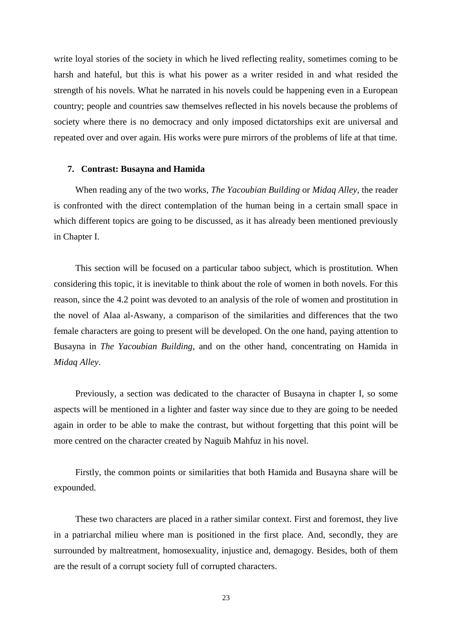write loyal stories of the society in which he lived reflecting reality, sometimes coming to be harsh and hateful, but this is what his power as a writer resided in and what resided the strength of his novels. What he narrated in his novels could be happening even in a European country; people and countries saw themselves reflected in his novels because the problems of society where there is no democracy and only imposed dictatorships exit are universal and repeated over and over again. His works were pure mirrors of the problems of life at that time.

#### **7. Contrast: Busayna and Hamida**

When reading any of the two works, *The Yacoubian Building* or *Midaq Alley*, the reader is confronted with the direct contemplation of the human being in a certain small space in which different topics are going to be discussed, as it has already been mentioned previously in Chapter I.

This section will be focused on a particular taboo subject, which is prostitution. When considering this topic, it is inevitable to think about the role of women in both novels. For this reason, since the 4.2 point was devoted to an analysis of the role of women and prostitution in the novel of Alaa al-Aswany, a comparison of the similarities and differences that the two female characters are going to present will be developed. On the one hand, paying attention to Busayna in *The Yacoubian Building*, and on the other hand, concentrating on Hamida in *Midaq Alley*.

Previously, a section was dedicated to the character of Busayna in chapter I, so some aspects will be mentioned in a lighter and faster way since due to they are going to be needed again in order to be able to make the contrast, but without forgetting that this point will be more centred on the character created by Naguib Mahfuz in his novel.

Firstly, the common points or similarities that both Hamida and Busayna share will be expounded.

These two characters are placed in a rather similar context. First and foremost, they live in a patriarchal milieu where man is positioned in the first place. And, secondly, they are surrounded by maltreatment, homosexuality, injustice and, demagogy. Besides, both of them are the result of a corrupt society full of corrupted characters.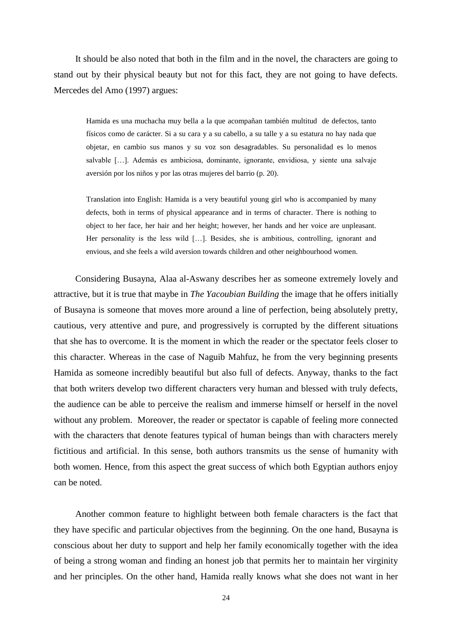It should be also noted that both in the film and in the novel, the characters are going to stand out by their physical beauty but not for this fact, they are not going to have defects. Mercedes del Amo (1997) argues:

Hamida es una muchacha muy bella a la que acompañan también multitud de defectos, tanto físicos como de carácter. Si a su cara y a su cabello, a su talle y a su estatura no hay nada que objetar, en cambio sus manos y su voz son desagradables. Su personalidad es lo menos salvable […]. Además es ambiciosa, dominante, ignorante, envidiosa, y siente una salvaje aversión por los niños y por las otras mujeres del barrio (p. 20).

Translation into English: Hamida is a very beautiful young girl who is accompanied by many defects, both in terms of physical appearance and in terms of character. There is nothing to object to her face, her hair and her height; however, her hands and her voice are unpleasant. Her personality is the less wild […]. Besides, she is ambitious, controlling, ignorant and envious, and she feels a wild aversion towards children and other neighbourhood women.

Considering Busayna, Alaa al-Aswany describes her as someone extremely lovely and attractive, but it is true that maybe in *The Yacoubian Building* the image that he offers initially of Busayna is someone that moves more around a line of perfection, being absolutely pretty, cautious, very attentive and pure, and progressively is corrupted by the different situations that she has to overcome. It is the moment in which the reader or the spectator feels closer to this character. Whereas in the case of Naguib Mahfuz, he from the very beginning presents Hamida as someone incredibly beautiful but also full of defects. Anyway, thanks to the fact that both writers develop two different characters very human and blessed with truly defects, the audience can be able to perceive the realism and immerse himself or herself in the novel without any problem. Moreover, the reader or spectator is capable of feeling more connected with the characters that denote features typical of human beings than with characters merely fictitious and artificial. In this sense, both authors transmits us the sense of humanity with both women. Hence, from this aspect the great success of which both Egyptian authors enjoy can be noted.

Another common feature to highlight between both female characters is the fact that they have specific and particular objectives from the beginning. On the one hand, Busayna is conscious about her duty to support and help her family economically together with the idea of being a strong woman and finding an honest job that permits her to maintain her virginity and her principles. On the other hand, Hamida really knows what she does not want in her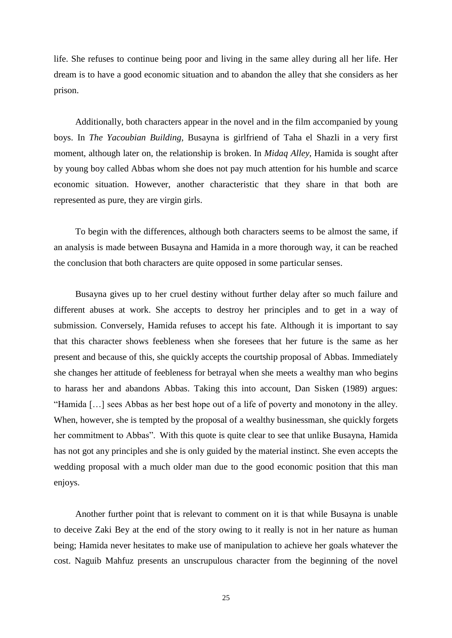life. She refuses to continue being poor and living in the same alley during all her life. Her dream is to have a good economic situation and to abandon the alley that she considers as her prison.

Additionally, both characters appear in the novel and in the film accompanied by young boys. In *The Yacoubian Building*, Busayna is girlfriend of Taha el Shazli in a very first moment, although later on, the relationship is broken. In *Midaq Alley*, Hamida is sought after by young boy called Abbas whom she does not pay much attention for his humble and scarce economic situation. However, another characteristic that they share in that both are represented as pure, they are virgin girls.

To begin with the differences, although both characters seems to be almost the same, if an analysis is made between Busayna and Hamida in a more thorough way, it can be reached the conclusion that both characters are quite opposed in some particular senses.

Busayna gives up to her cruel destiny without further delay after so much failure and different abuses at work. She accepts to destroy her principles and to get in a way of submission. Conversely, Hamida refuses to accept his fate. Although it is important to say that this character shows feebleness when she foresees that her future is the same as her present and because of this, she quickly accepts the courtship proposal of Abbas. Immediately she changes her attitude of feebleness for betrayal when she meets a wealthy man who begins to harass her and abandons Abbas. Taking this into account, Dan Sisken (1989) argues: "Hamida […] sees Abbas as her best hope out of a life of poverty and monotony in the alley. When, however, she is tempted by the proposal of a wealthy businessman, she quickly forgets her commitment to Abbas". With this quote is quite clear to see that unlike Busayna, Hamida has not got any principles and she is only guided by the material instinct. She even accepts the wedding proposal with a much older man due to the good economic position that this man enjoys.

Another further point that is relevant to comment on it is that while Busayna is unable to deceive Zaki Bey at the end of the story owing to it really is not in her nature as human being; Hamida never hesitates to make use of manipulation to achieve her goals whatever the cost. Naguib Mahfuz presents an unscrupulous character from the beginning of the novel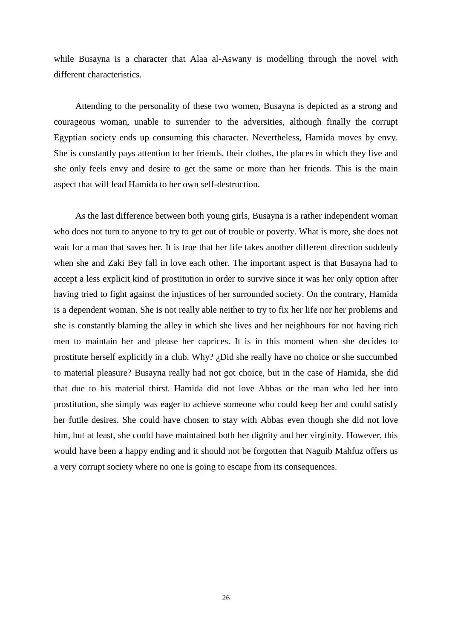while Busayna is a character that Alaa al-Aswany is modelling through the novel with different characteristics.

Attending to the personality of these two women, Busayna is depicted as a strong and courageous woman, unable to surrender to the adversities, although finally the corrupt Egyptian society ends up consuming this character. Nevertheless, Hamida moves by envy. She is constantly pays attention to her friends, their clothes, the places in which they live and she only feels envy and desire to get the same or more than her friends. This is the main aspect that will lead Hamida to her own self-destruction.

As the last difference between both young girls, Busayna is a rather independent woman who does not turn to anyone to try to get out of trouble or poverty. What is more, she does not wait for a man that saves her. It is true that her life takes another different direction suddenly when she and Zaki Bey fall in love each other. The important aspect is that Busayna had to accept a less explicit kind of prostitution in order to survive since it was her only option after having tried to fight against the injustices of her surrounded society. On the contrary, Hamida is a dependent woman. She is not really able neither to try to fix her life nor her problems and she is constantly blaming the alley in which she lives and her neighbours for not having rich men to maintain her and please her caprices. It is in this moment when she decides to prostitute herself explicitly in a club. Why? ¿Did she really have no choice or she succumbed to material pleasure? Busayna really had not got choice, but in the case of Hamida, she did that due to his material thirst. Hamida did not love Abbas or the man who led her into prostitution, she simply was eager to achieve someone who could keep her and could satisfy her futile desires. She could have chosen to stay with Abbas even though she did not love him, but at least, she could have maintained both her dignity and her virginity. However, this would have been a happy ending and it should not be forgotten that Naguib Mahfuz offers us a very corrupt society where no one is going to escape from its consequences.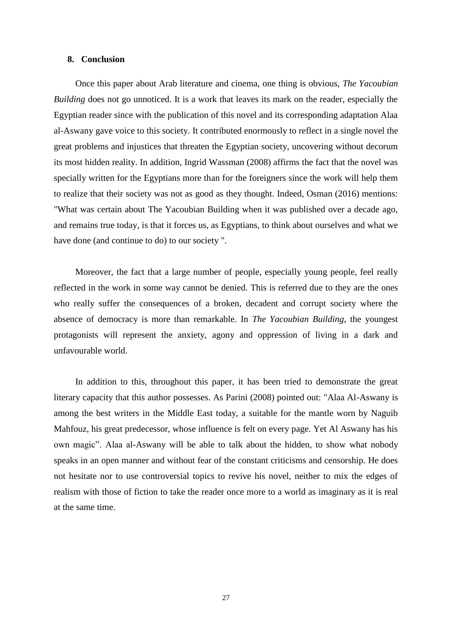#### **8. Conclusion**

Once this paper about Arab literature and cinema, one thing is obvious, *The Yacoubian Building* does not go unnoticed. It is a work that leaves its mark on the reader, especially the Egyptian reader since with the publication of this novel and its corresponding adaptation Alaa al-Aswany gave voice to this society. It contributed enormously to reflect in a single novel the great problems and injustices that threaten the Egyptian society, uncovering without decorum its most hidden reality. In addition, Ingrid Wassman (2008) affirms the fact that the novel was specially written for the Egyptians more than for the foreigners since the work will help them to realize that their society was not as good as they thought. Indeed, Osman (2016) mentions: "What was certain about The Yacoubian Building when it was published over a decade ago, and remains true today, is that it forces us, as Egyptians, to think about ourselves and what we have done (and continue to do) to our society ".

Moreover, the fact that a large number of people, especially young people, feel really reflected in the work in some way cannot be denied. This is referred due to they are the ones who really suffer the consequences of a broken, decadent and corrupt society where the absence of democracy is more than remarkable. In *The Yacoubian Building*, the youngest protagonists will represent the anxiety, agony and oppression of living in a dark and unfavourable world.

In addition to this, throughout this paper, it has been tried to demonstrate the great literary capacity that this author possesses. As Parini (2008) pointed out: "Alaa Al-Aswany is among the best writers in the Middle East today, a suitable for the mantle worn by Naguib Mahfouz, his great predecessor, whose influence is felt on every page. Yet Al Aswany has his own magic". Alaa al-Aswany will be able to talk about the hidden, to show what nobody speaks in an open manner and without fear of the constant criticisms and censorship. He does not hesitate nor to use controversial topics to revive his novel, neither to mix the edges of realism with those of fiction to take the reader once more to a world as imaginary as it is real at the same time.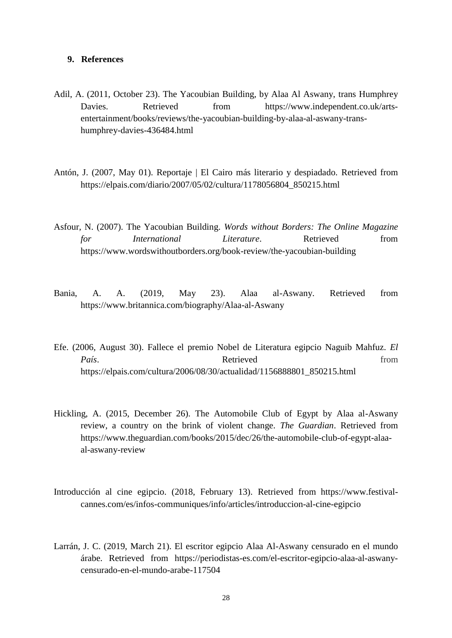#### **9. References**

- Adil, A. (2011, October 23). The Yacoubian Building, by Alaa Al Aswany, trans Humphrey Davies. Retrieved from https://www.independent.co.uk/artsentertainment/books/reviews/the-yacoubian-building-by-alaa-al-aswany-transhumphrey-davies-436484.html
- Antón, J. (2007, May 01). Reportaje | El Cairo más literario y despiadado. Retrieved from https://elpais.com/diario/2007/05/02/cultura/1178056804\_850215.html
- Asfour, N. (2007). The Yacoubian Building. *Words without Borders: The Online Magazine for International Literature*. Retrieved from https://www.wordswithoutborders.org/book-review/the-yacoubian-building
- Bania, A. A. (2019, May 23). Alaa al-Aswany. Retrieved from https://www.britannica.com/biography/Alaa-al-Aswany
- Efe. (2006, August 30). Fallece el premio Nobel de Literatura egipcio Naguib Mahfuz. *El*  País. **País Retrieved** from https://elpais.com/cultura/2006/08/30/actualidad/1156888801\_850215.html
- Hickling, A. (2015, December 26). The Automobile Club of Egypt by Alaa al-Aswany review, a country on the brink of violent change. *The Guardian*. Retrieved from https://www.theguardian.com/books/2015/dec/26/the-automobile-club-of-egypt-alaaal-aswany-review
- Introducción al cine egipcio. (2018, February 13). Retrieved from https://www.festivalcannes.com/es/infos-communiques/info/articles/introduccion-al-cine-egipcio
- Larrán, J. C. (2019, March 21). El escritor egipcio Alaa Al-Aswany censurado en el mundo árabe. Retrieved from https://periodistas-es.com/el-escritor-egipcio-alaa-al-aswanycensurado-en-el-mundo-arabe-117504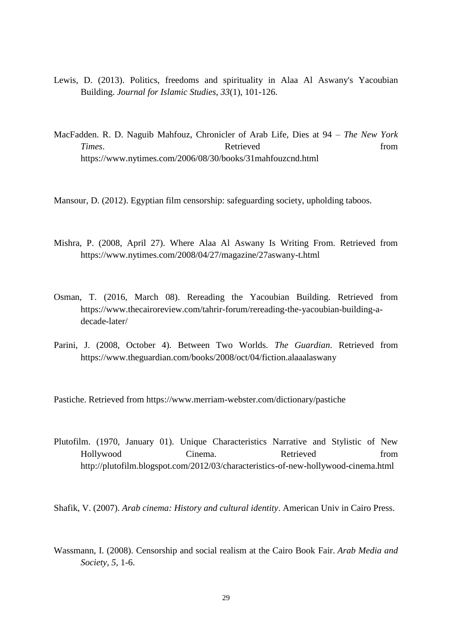- Lewis, D. (2013). Politics, freedoms and spirituality in Alaa Al Aswany's Yacoubian Building. *Journal for Islamic Studies*, *33*(1), 101-126.
- MacFadden. R. D. Naguib Mahfouz, Chronicler of Arab Life, Dies at 94 *The New York*  **Times.** Retrieved from https://www.nytimes.com/2006/08/30/books/31mahfouzcnd.html
- Mansour, D. (2012). Egyptian film censorship: safeguarding society, upholding taboos.
- Mishra, P. (2008, April 27). Where Alaa Al Aswany Is Writing From. Retrieved from https://www.nytimes.com/2008/04/27/magazine/27aswany-t.html
- Osman, T. (2016, March 08). Rereading the Yacoubian Building. Retrieved from https://www.thecairoreview.com/tahrir-forum/rereading-the-yacoubian-building-adecade-later/
- Parini, J. (2008, October 4). Between Two Worlds. *The Guardian*. Retrieved from https://www.theguardian.com/books/2008/oct/04/fiction.alaaalaswany

Pastiche. Retrieved from https://www.merriam-webster.com/dictionary/pastiche

Plutofilm. (1970, January 01). Unique Characteristics Narrative and Stylistic of New Hollywood Cinema. Retrieved from http://plutofilm.blogspot.com/2012/03/characteristics-of-new-hollywood-cinema.html

Shafik, V. (2007). *Arab cinema: History and cultural identity*. American Univ in Cairo Press.

Wassmann, I. (2008). Censorship and social realism at the Cairo Book Fair. *Arab Media and Society*, *5*, 1-6.